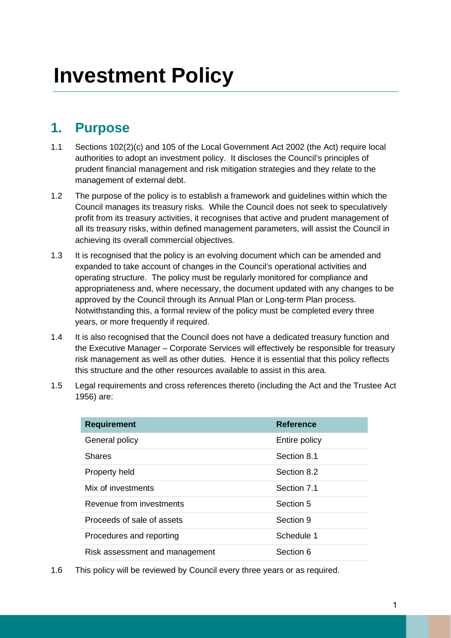## **1. Purpose**

- 1.1 Sections 102(2)(c) and 105 of the Local Government Act 2002 (the Act) require local authorities to adopt an investment policy. It discloses the Council's principles of prudent financial management and risk mitigation strategies and they relate to the management of external debt.
- 1.2 The purpose of the policy is to establish a framework and guidelines within which the Council manages its treasury risks. While the Council does not seek to speculatively profit from its treasury activities, it recognises that active and prudent management of all its treasury risks, within defined management parameters, will assist the Council in achieving its overall commercial objectives.
- 1.3 It is recognised that the policy is an evolving document which can be amended and expanded to take account of changes in the Council's operational activities and operating structure. The policy must be regularly monitored for compliance and appropriateness and, where necessary, the document updated with any changes to be approved by the Council through its Annual Plan or Long-term Plan process. Notwithstanding this, a formal review of the policy must be completed every three years, or more frequently if required.
- 1.4 It is also recognised that the Council does not have a dedicated treasury function and the Executive Manager – Corporate Services will effectively be responsible for treasury risk management as well as other duties. Hence it is essential that this policy reflects this structure and the other resources available to assist in this area.
- 1.5 Legal requirements and cross references thereto (including the Act and the Trustee Act 1956) are:

| <b>Requirement</b>             | <b>Reference</b> |
|--------------------------------|------------------|
| General policy                 | Entire policy    |
| <b>Shares</b>                  | Section 8.1      |
| Property held                  | Section 8.2      |
| Mix of investments             | Section 7.1      |
| Revenue from investments       | Section 5        |
| Proceeds of sale of assets     | Section 9        |
| Procedures and reporting       | Schedule 1       |
| Risk assessment and management | Section 6        |

1.6 This policy will be reviewed by Council every three years or as required.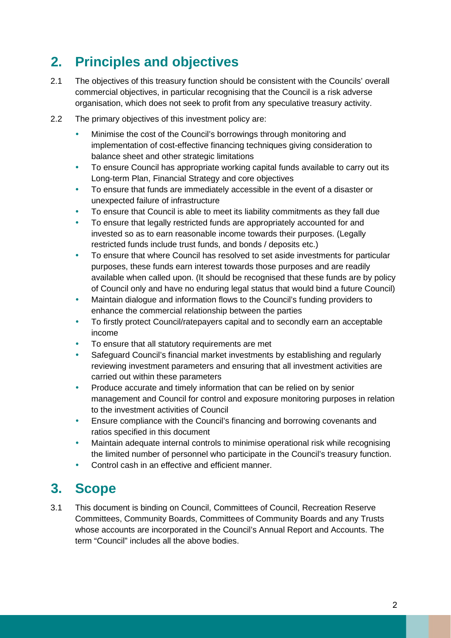# **2. Principles and objectives**

- 2.1 The objectives of this treasury function should be consistent with the Councils' overall commercial objectives, in particular recognising that the Council is a risk adverse organisation, which does not seek to profit from any speculative treasury activity.
- 2.2 The primary objectives of this investment policy are:
	- Minimise the cost of the Council's borrowings through monitoring and implementation of cost-effective financing techniques giving consideration to balance sheet and other strategic limitations
	- To ensure Council has appropriate working capital funds available to carry out its Long-term Plan, Financial Strategy and core objectives
	- To ensure that funds are immediately accessible in the event of a disaster or unexpected failure of infrastructure
	- To ensure that Council is able to meet its liability commitments as they fall due
	- To ensure that legally restricted funds are appropriately accounted for and invested so as to earn reasonable income towards their purposes. (Legally restricted funds include trust funds, and bonds / deposits etc.)
	- To ensure that where Council has resolved to set aside investments for particular purposes, these funds earn interest towards those purposes and are readily available when called upon. (It should be recognised that these funds are by policy of Council only and have no enduring legal status that would bind a future Council)
	- Maintain dialogue and information flows to the Council's funding providers to enhance the commercial relationship between the parties
	- To firstly protect Council/ratepayers capital and to secondly earn an acceptable income
	- To ensure that all statutory requirements are met
	- Safeguard Council's financial market investments by establishing and regularly reviewing investment parameters and ensuring that all investment activities are carried out within these parameters
	- Produce accurate and timely information that can be relied on by senior management and Council for control and exposure monitoring purposes in relation to the investment activities of Council
	- Ensure compliance with the Council's financing and borrowing covenants and ratios specified in this document
	- Maintain adequate internal controls to minimise operational risk while recognising the limited number of personnel who participate in the Council's treasury function.
	- Control cash in an effective and efficient manner.

# **3. Scope**

3.1 This document is binding on Council, Committees of Council, Recreation Reserve Committees, Community Boards, Committees of Community Boards and any Trusts whose accounts are incorporated in the Council's Annual Report and Accounts. The term "Council" includes all the above bodies.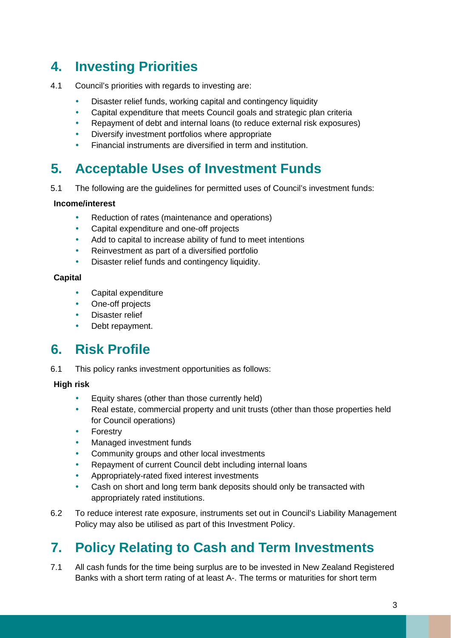# **4. Investing Priorities**

- 4.1 Council's priorities with regards to investing are:
	- Disaster relief funds, working capital and contingency liquidity
	- Capital expenditure that meets Council goals and strategic plan criteria
	- Repayment of debt and internal loans (to reduce external risk exposures)
	- Diversify investment portfolios where appropriate
	- Financial instruments are diversified in term and institution.

# **5. Acceptable Uses of Investment Funds**

5.1 The following are the guidelines for permitted uses of Council's investment funds:

#### **Income/interest**

- Reduction of rates (maintenance and operations)
- Capital expenditure and one-off projects
- Add to capital to increase ability of fund to meet intentions
- Reinvestment as part of a diversified portfolio
- Disaster relief funds and contingency liquidity.

#### **Capital**

- Capital expenditure
- One-off projects
- Disaster relief
- Debt repayment.

## **6. Risk Profile**

6.1 This policy ranks investment opportunities as follows:

#### **High risk**

- Equity shares (other than those currently held)
- Real estate, commercial property and unit trusts (other than those properties held for Council operations)
- Forestry
- Managed investment funds
- Community groups and other local investments
- Repayment of current Council debt including internal loans
- Appropriately-rated fixed interest investments
- Cash on short and long term bank deposits should only be transacted with appropriately rated institutions.
- 6.2 To reduce interest rate exposure, instruments set out in Council's Liability Management Policy may also be utilised as part of this Investment Policy.

# **7. Policy Relating to Cash and Term Investments**

7.1 All cash funds for the time being surplus are to be invested in New Zealand Registered Banks with a short term rating of at least A-. The terms or maturities for short term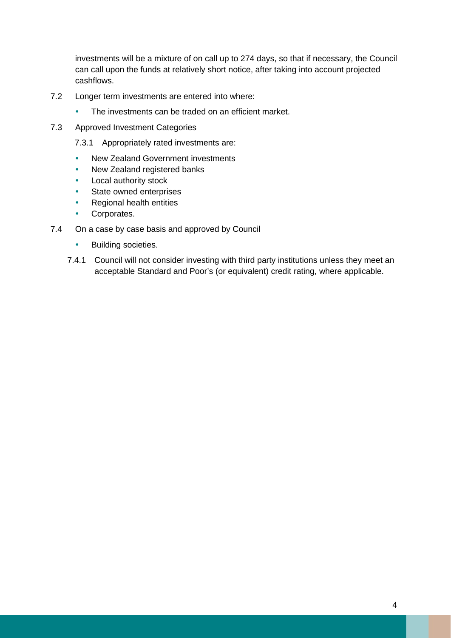investments will be a mixture of on call up to 274 days, so that if necessary, the Council can call upon the funds at relatively short notice, after taking into account projected cashflows.

- 7.2 Longer term investments are entered into where:
	- The investments can be traded on an efficient market.
- 7.3 Approved Investment Categories
	- 7.3.1 Appropriately rated investments are:
	- New Zealand Government investments
	- New Zealand registered banks
	- Local authority stock
	- State owned enterprises
	- Regional health entities
	- Corporates.
- 7.4 On a case by case basis and approved by Council
	- Building societies.
	- 7.4.1 Council will not consider investing with third party institutions unless they meet an acceptable Standard and Poor's (or equivalent) credit rating, where applicable.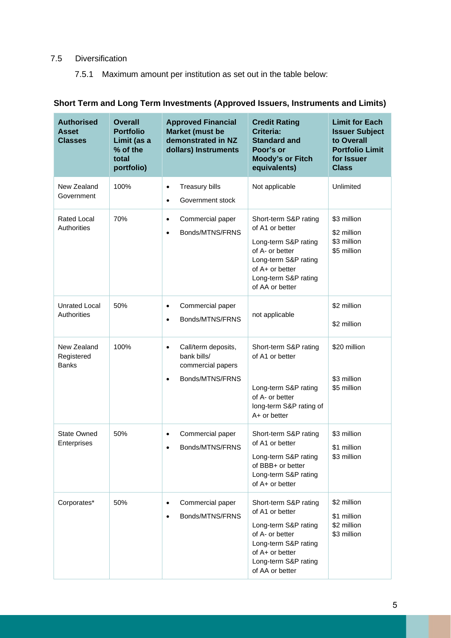#### 7.5 Diversification

7.5.1 Maximum amount per institution as set out in the table below:

### **Short Term and Long Term Investments (Approved Issuers, Instruments and Limits)**

| <b>Authorised</b><br><b>Asset</b><br><b>Classes</b> | Overall<br><b>Portfolio</b><br>Limit (as a<br>% of the<br>total<br>portfolio) | <b>Approved Financial</b><br>Market (must be<br>demonstrated in NZ<br>dollars) Instruments           | <b>Credit Rating</b><br><b>Criteria:</b><br><b>Standard and</b><br>Poor's or<br><b>Moody's or Fitch</b><br>equivalents)                                                   | <b>Limit for Each</b><br><b>Issuer Subject</b><br>to Overall<br><b>Portfolio Limit</b><br>for Issuer<br><b>Class</b> |
|-----------------------------------------------------|-------------------------------------------------------------------------------|------------------------------------------------------------------------------------------------------|---------------------------------------------------------------------------------------------------------------------------------------------------------------------------|----------------------------------------------------------------------------------------------------------------------|
| New Zealand<br>Government                           | 100%                                                                          | <b>Treasury bills</b><br>$\bullet$<br>Government stock<br>$\bullet$                                  | Not applicable                                                                                                                                                            | Unlimited                                                                                                            |
| <b>Rated Local</b><br>Authorities                   | 70%                                                                           | Commercial paper<br>$\bullet$<br>Bonds/MTNS/FRNS<br>$\bullet$                                        | Short-term S&P rating<br>of A1 or better<br>Long-term S&P rating<br>of A- or better<br>Long-term S&P rating<br>of A+ or better<br>Long-term S&P rating<br>of AA or better | \$3 million<br>\$2 million<br>\$3 million<br>\$5 million                                                             |
| <b>Unrated Local</b><br>Authorities                 | 50%                                                                           | Commercial paper<br>$\bullet$<br>Bonds/MTNS/FRNS<br>$\bullet$                                        | not applicable                                                                                                                                                            | \$2 million<br>\$2 million                                                                                           |
| New Zealand<br>Registered<br><b>Banks</b>           | 100%                                                                          | Call/term deposits,<br>$\bullet$<br>bank bills/<br>commercial papers<br>Bonds/MTNS/FRNS<br>$\bullet$ | Short-term S&P rating<br>of A1 or better<br>Long-term S&P rating<br>of A- or better<br>long-term S&P rating of<br>A+ or better                                            | \$20 million<br>\$3 million<br>\$5 million                                                                           |
| <b>State Owned</b><br>Enterprises                   | 50%                                                                           | Commercial paper<br>$\bullet$<br>Bonds/MTNS/FRNS<br>$\bullet$                                        | Short-term S&P rating<br>of A1 or better<br>Long-term S&P rating<br>of BBB+ or better<br>Long-term S&P rating<br>of A+ or better                                          | \$3 million<br>\$1 million<br>\$3 million                                                                            |
| Corporates*                                         | 50%                                                                           | Commercial paper<br>$\bullet$<br>Bonds/MTNS/FRNS                                                     | Short-term S&P rating<br>of A1 or better<br>Long-term S&P rating<br>of A- or better<br>Long-term S&P rating<br>of A+ or better<br>Long-term S&P rating<br>of AA or better | \$2 million<br>\$1 million<br>\$2 million<br>\$3 million                                                             |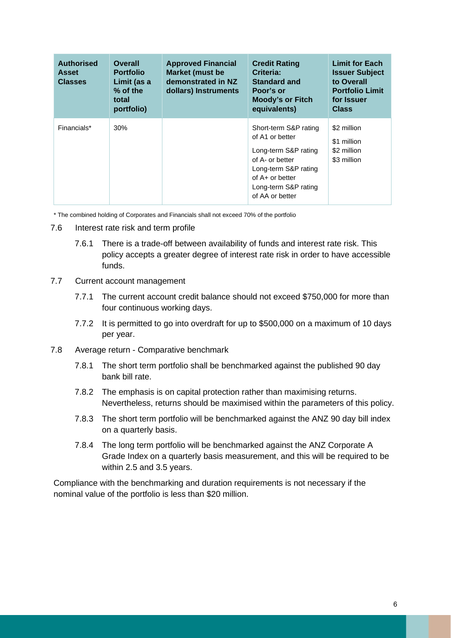| <b>Authorised</b><br><b>Asset</b><br><b>Classes</b> | <b>Overall</b><br><b>Portfolio</b><br>Limit (as a<br>$%$ of the<br>total<br>portfolio) | <b>Approved Financial</b><br><b>Market (must be</b><br>demonstrated in NZ<br>dollars) Instruments | <b>Credit Rating</b><br>Criteria:<br><b>Standard and</b><br>Poor's or<br><b>Moody's or Fitch</b><br>equivalents)                                                            | <b>Limit for Each</b><br><b>Issuer Subject</b><br>to Overall<br><b>Portfolio Limit</b><br>for Issuer<br><b>Class</b> |
|-----------------------------------------------------|----------------------------------------------------------------------------------------|---------------------------------------------------------------------------------------------------|-----------------------------------------------------------------------------------------------------------------------------------------------------------------------------|----------------------------------------------------------------------------------------------------------------------|
| Financials*                                         | 30%                                                                                    |                                                                                                   | Short-term S&P rating<br>of A1 or better<br>Long-term S&P rating<br>of A- or better<br>Long-term S&P rating<br>of $A+$ or better<br>Long-term S&P rating<br>of AA or better | \$2 million<br>\$1 million<br>\$2 million<br>\$3 million                                                             |

\* The combined holding of Corporates and Financials shall not exceed 70% of the portfolio

- 7.6 Interest rate risk and term profile
	- 7.6.1 There is a trade-off between availability of funds and interest rate risk. This policy accepts a greater degree of interest rate risk in order to have accessible funds.
- 7.7 Current account management
	- 7.7.1 The current account credit balance should not exceed \$750,000 for more than four continuous working days.
	- 7.7.2 It is permitted to go into overdraft for up to \$500,000 on a maximum of 10 days per year.
- 7.8 Average return Comparative benchmark
	- 7.8.1 The short term portfolio shall be benchmarked against the published 90 day bank bill rate.
	- 7.8.2 The emphasis is on capital protection rather than maximising returns. Nevertheless, returns should be maximised within the parameters of this policy.
	- 7.8.3 The short term portfolio will be benchmarked against the ANZ 90 day bill index on a quarterly basis.
	- 7.8.4 The long term portfolio will be benchmarked against the ANZ Corporate A Grade Index on a quarterly basis measurement, and this will be required to be within 2.5 and 3.5 years.

Compliance with the benchmarking and duration requirements is not necessary if the nominal value of the portfolio is less than \$20 million.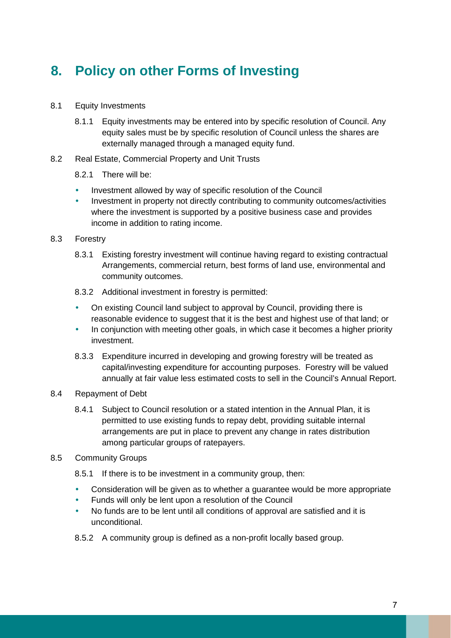# **8. Policy on other Forms of Investing**

- 8.1 Equity Investments
	- 8.1.1 Equity investments may be entered into by specific resolution of Council. Any equity sales must be by specific resolution of Council unless the shares are externally managed through a managed equity fund.
- 8.2 Real Estate, Commercial Property and Unit Trusts
	- 8.2.1 There will be:
	- Investment allowed by way of specific resolution of the Council
	- Investment in property not directly contributing to community outcomes/activities where the investment is supported by a positive business case and provides income in addition to rating income.
- 8.3 Forestry
	- 8.3.1 Existing forestry investment will continue having regard to existing contractual Arrangements, commercial return, best forms of land use, environmental and community outcomes.
	- 8.3.2 Additional investment in forestry is permitted:
	- On existing Council land subject to approval by Council, providing there is reasonable evidence to suggest that it is the best and highest use of that land; or
	- In conjunction with meeting other goals, in which case it becomes a higher priority investment.
	- 8.3.3 Expenditure incurred in developing and growing forestry will be treated as capital/investing expenditure for accounting purposes. Forestry will be valued annually at fair value less estimated costs to sell in the Council's Annual Report.
- 8.4 Repayment of Debt
	- 8.4.1 Subject to Council resolution or a stated intention in the Annual Plan, it is permitted to use existing funds to repay debt, providing suitable internal arrangements are put in place to prevent any change in rates distribution among particular groups of ratepayers.
- 8.5 Community Groups
	- 8.5.1 If there is to be investment in a community group, then:
	- Consideration will be given as to whether a guarantee would be more appropriate
	- Funds will only be lent upon a resolution of the Council
	- No funds are to be lent until all conditions of approval are satisfied and it is unconditional.
	- 8.5.2 A community group is defined as a non-profit locally based group.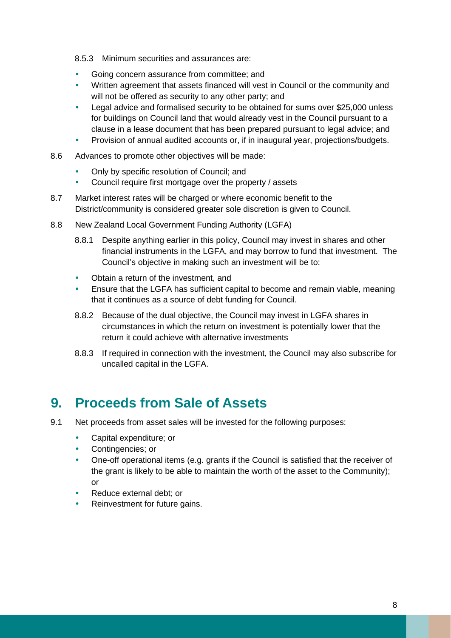- 8.5.3 Minimum securities and assurances are:
- Going concern assurance from committee; and
- Written agreement that assets financed will vest in Council or the community and will not be offered as security to any other party; and
- Legal advice and formalised security to be obtained for sums over \$25,000 unless for buildings on Council land that would already vest in the Council pursuant to a clause in a lease document that has been prepared pursuant to legal advice; and
- Provision of annual audited accounts or, if in inaugural year, projections/budgets.
- 8.6 Advances to promote other objectives will be made:
	- Only by specific resolution of Council; and
	- Council require first mortgage over the property / assets
- 8.7 Market interest rates will be charged or where economic benefit to the District/community is considered greater sole discretion is given to Council.
- 8.8 New Zealand Local Government Funding Authority (LGFA)
	- 8.8.1 Despite anything earlier in this policy, Council may invest in shares and other financial instruments in the LGFA, and may borrow to fund that investment. The Council's objective in making such an investment will be to:
	- Obtain a return of the investment, and
	- Ensure that the LGFA has sufficient capital to become and remain viable, meaning that it continues as a source of debt funding for Council.
	- 8.8.2 Because of the dual objective, the Council may invest in LGFA shares in circumstances in which the return on investment is potentially lower that the return it could achieve with alternative investments
	- 8.8.3 If required in connection with the investment, the Council may also subscribe for uncalled capital in the LGFA.

### **9. Proceeds from Sale of Assets**

- 9.1 Net proceeds from asset sales will be invested for the following purposes:
	- Capital expenditure; or
	- Contingencies; or
	- One-off operational items (e.g. grants if the Council is satisfied that the receiver of the grant is likely to be able to maintain the worth of the asset to the Community); or
	- Reduce external debt; or
	- Reinvestment for future gains.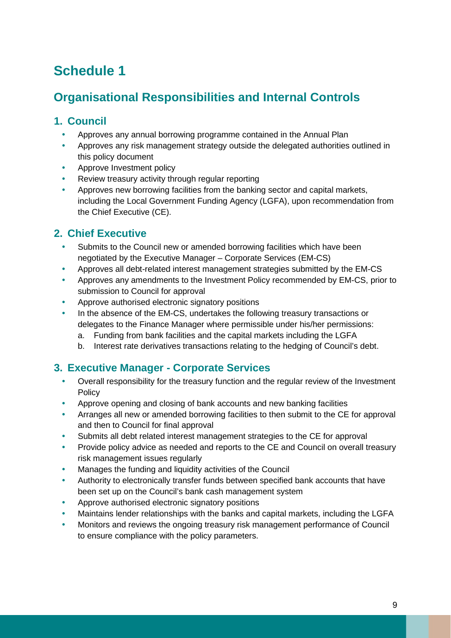# **Schedule 1**

### **Organisational Responsibilities and Internal Controls**

### **1. Council**

- Approves any annual borrowing programme contained in the Annual Plan
- Approves any risk management strategy outside the delegated authorities outlined in this policy document
- Approve Investment policy
- Review treasury activity through regular reporting
- Approves new borrowing facilities from the banking sector and capital markets, including the Local Government Funding Agency (LGFA), upon recommendation from the Chief Executive (CE).

### **2. Chief Executive**

- Submits to the Council new or amended borrowing facilities which have been negotiated by the Executive Manager – Corporate Services (EM-CS)
- Approves all debt-related interest management strategies submitted by the EM-CS
- Approves any amendments to the Investment Policy recommended by EM-CS, prior to submission to Council for approval
- Approve authorised electronic signatory positions
- In the absence of the EM-CS, undertakes the following treasury transactions or delegates to the Finance Manager where permissible under his/her permissions:
	- a. Funding from bank facilities and the capital markets including the LGFA
	- b. Interest rate derivatives transactions relating to the hedging of Council's debt.

### **3. Executive Manager - Corporate Services**

- Overall responsibility for the treasury function and the regular review of the Investment **Policy**
- Approve opening and closing of bank accounts and new banking facilities
- Arranges all new or amended borrowing facilities to then submit to the CE for approval and then to Council for final approval
- Submits all debt related interest management strategies to the CE for approval
- Provide policy advice as needed and reports to the CE and Council on overall treasury risk management issues regularly
- Manages the funding and liquidity activities of the Council
- Authority to electronically transfer funds between specified bank accounts that have been set up on the Council's bank cash management system
- Approve authorised electronic signatory positions
- Maintains lender relationships with the banks and capital markets, including the LGFA
- Monitors and reviews the ongoing treasury risk management performance of Council to ensure compliance with the policy parameters.